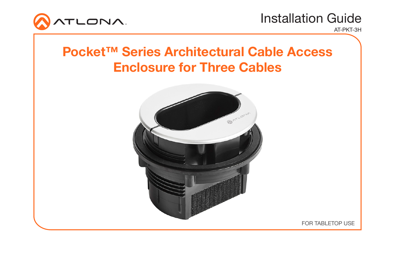

AT-PKT-3H

## Pocket™ Series Architectural Cable Access Enclosure for Three Cables



FOR TABLETOP USE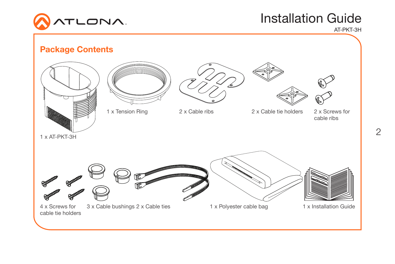

AT-PKT-3H

# $\frac{1}{2}$  x AT-PKT-3H 4 x Screws for cable tie holders 3 x Cable bushings 2 x Cable ties 1 x Polyester cable bag 1 x Installation Guide 1 x Tension Ring 2 x Cable ribs 2 x Cable tie holders 2 x Screws for cable ribs Package Contents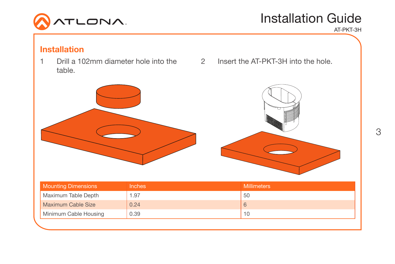

Installation Guide AT-PKT-3H

### Installation

- 1 Drill a 102mm diameter hole into the 2 Insert the AT-PKT-3H into the hole. table.
- 



| <b>Mounting Dimensions</b> | <b>Inches</b> | <b>Millimeters</b> |
|----------------------------|---------------|--------------------|
| Maximum Table Depth        | 1.97          | 50                 |
| Maximum Cable Size         | 0.24          |                    |
| Minimum Cable Housing      | 0.39          | 10                 |
|                            |               |                    |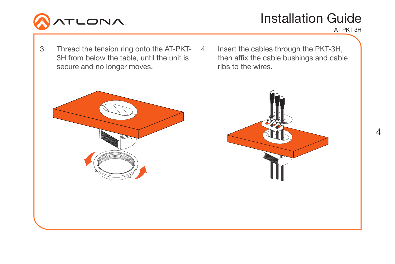

AT-PKT-3H

- 3 Thread the tension ring onto the AT-PKT-3H from below the table, until the unit is secure and no longer moves.
- Insert the cables through the PKT-3H, then affix the cable bushings and cable ribs to the wires.

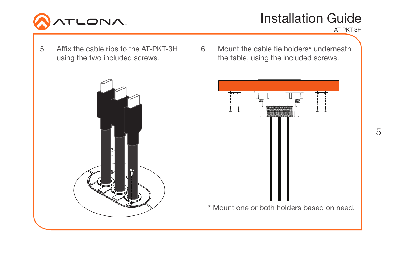

AT-PKT-3H

- 5 Affix the cable ribs to the AT-PKT-3H using the two included screws.
- 6 Mount the cable tie holders\* underneath the table, using the included screws.



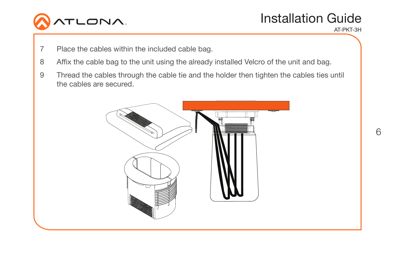

AT-PKT-3H

- 7 Place the cables within the included cable bag.
- 8 Affix the cable bag to the unit using the already installed Velcro of the unit and bag.
- 9 Thread the cables through the cable tie and the holder then tighten the cables ties until the cables are secured.

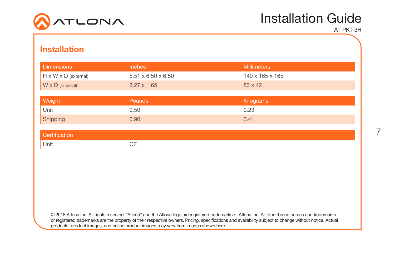

AT-PKT-3H

#### Installation

| <b>Dimensions</b>       | <b>Inches</b>                  | <b>Millimeters</b> |
|-------------------------|--------------------------------|--------------------|
| H x W x D (external)    | $5.51 \times 6.50 \times 6.50$ | 140 x 165 x 165    |
| $W \times D$ (internal) | $3.27 \times 1.65$             | $83 \times 42$     |
|                         |                                |                    |
| Weight                  | <b>Pounds</b>                  | Kilograms          |
| Unit                    | 0.50                           | 0.23               |
| Shipping                | 0.90                           | 0.41               |

| Unit | $\sim$ $-$<br>۰<br>◡⊏ |  |
|------|-----------------------|--|

© 2018 Atlona Inc. All rights reserved. "Atlona" and the Atlona logo are registered trademarks of Atlona Inc. All other brand names and trademarks or registered trademarks are the property of their respective owners. Pricing, specifications and availability subject to change without notice. Actual products, product images, and online product images may vary from images shown here.